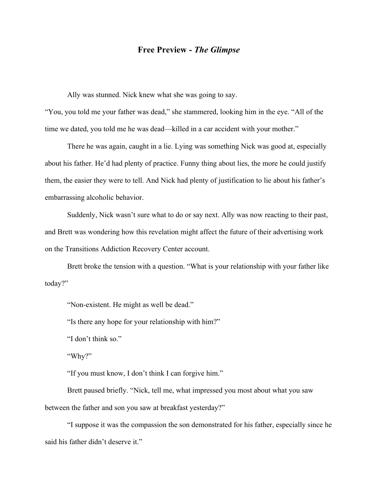## **Free Preview -** *The Glimpse*

Ally was stunned. Nick knew what she was going to say.

"You, you told me your father was dead," she stammered, looking him in the eye. "All of the time we dated, you told me he was dead—killed in a car accident with your mother."

There he was again, caught in a lie. Lying was something Nick was good at, especially about his father. He'd had plenty of practice. Funny thing about lies, the more he could justify them, the easier they were to tell. And Nick had plenty of justification to lie about his father's embarrassing alcoholic behavior.

Suddenly, Nick wasn't sure what to do or say next. Ally was now reacting to their past, and Brett was wondering how this revelation might affect the future of their advertising work on the Transitions Addiction Recovery Center account.

Brett broke the tension with a question. "What is your relationship with your father like today?"

"Non-existent. He might as well be dead."

"Is there any hope for your relationship with him?"

"I don't think so."

"Why?"

"If you must know, I don't think I can forgive him."

Brett paused briefly. "Nick, tell me, what impressed you most about what you saw between the father and son you saw at breakfast yesterday?"

"I suppose it was the compassion the son demonstrated for his father, especially since he said his father didn't deserve it."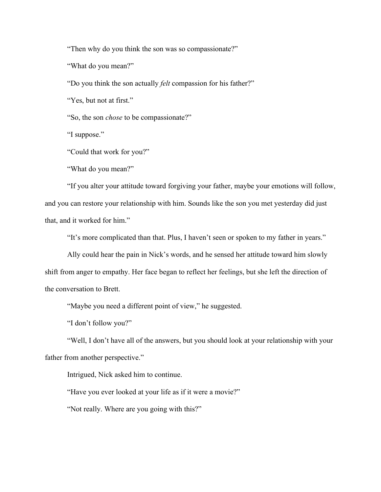"Then why do you think the son was so compassionate?"

"What do you mean?"

"Do you think the son actually *felt* compassion for his father?"

"Yes, but not at first."

"So, the son *chose* to be compassionate?"

"I suppose."

"Could that work for you?"

"What do you mean?"

"If you alter your attitude toward forgiving your father, maybe your emotions will follow, and you can restore your relationship with him. Sounds like the son you met yesterday did just that, and it worked for him."

"It's more complicated than that. Plus, I haven't seen or spoken to my father in years."

Ally could hear the pain in Nick's words, and he sensed her attitude toward him slowly shift from anger to empathy. Her face began to reflect her feelings, but she left the direction of the conversation to Brett.

"Maybe you need a different point of view," he suggested.

"I don't follow you?"

"Well, I don't have all of the answers, but you should look at your relationship with your father from another perspective."

Intrigued, Nick asked him to continue.

"Have you ever looked at your life as if it were a movie?"

"Not really. Where are you going with this?"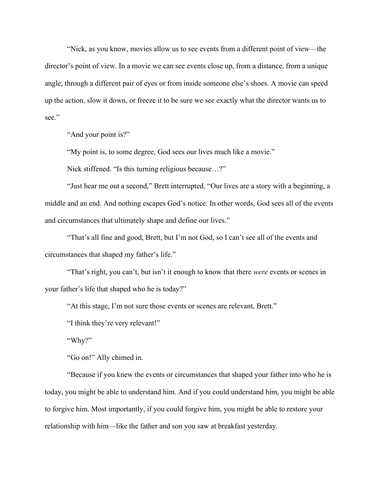"Nick, as you know, movies allow us to see events from a different point of view—the director's point of view. In a movie we can see events close up, from a distance, from a unique angle, through a different pair of eyes or from inside someone else's shoes. A movie can speed up the action, slow it down, or freeze it to be sure we see exactly what the director wants us to see."

"And your point is?"

"My point is, to some degree, God sees our lives much like a movie."

Nick stiffened. "Is this turning religious because…?"

"Just hear me out a second," Brett interrupted. "Our lives are a story with a beginning, a middle and an end. And nothing escapes God's notice. In other words, God sees all of the events and circumstances that ultimately shape and define our lives."

"That's all fine and good, Brett, but I'm not God, so I can't see all of the events and circumstances that shaped my father's life."

"That's right, you can't, but isn't it enough to know that there *were* events or scenes in your father's life that shaped who he is today?"

"At this stage, I'm not sure those events or scenes are relevant, Brett."

"I think they're very relevant!"

"Why?"

"Go on!" Ally chimed in.

"Because if you knew the events or circumstances that shaped your father into who he is today, you might be able to understand him. And if you could understand him, you might be able to forgive him. Most importantly, if you could forgive him, you might be able to restore your relationship with him—like the father and son you saw at breakfast yesterday.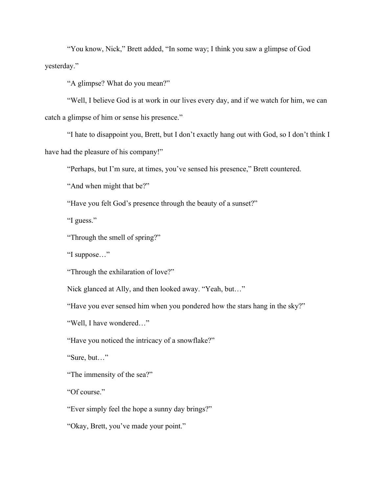"You know, Nick," Brett added, "In some way; I think you saw a glimpse of God yesterday."

"A glimpse? What do you mean?"

"Well, I believe God is at work in our lives every day, and if we watch for him, we can catch a glimpse of him or sense his presence."

"I hate to disappoint you, Brett, but I don't exactly hang out with God, so I don't think I have had the pleasure of his company!"

"Perhaps, but I'm sure, at times, you've sensed his presence," Brett countered.

"And when might that be?"

"Have you felt God's presence through the beauty of a sunset?"

"I guess."

"Through the smell of spring?"

"I suppose…"

"Through the exhilaration of love?"

Nick glanced at Ally, and then looked away. "Yeah, but…"

"Have you ever sensed him when you pondered how the stars hang in the sky?"

"Well, I have wondered…"

"Have you noticed the intricacy of a snowflake?"

"Sure, but…"

"The immensity of the sea?"

"Of course."

"Ever simply feel the hope a sunny day brings?"

"Okay, Brett, you've made your point."